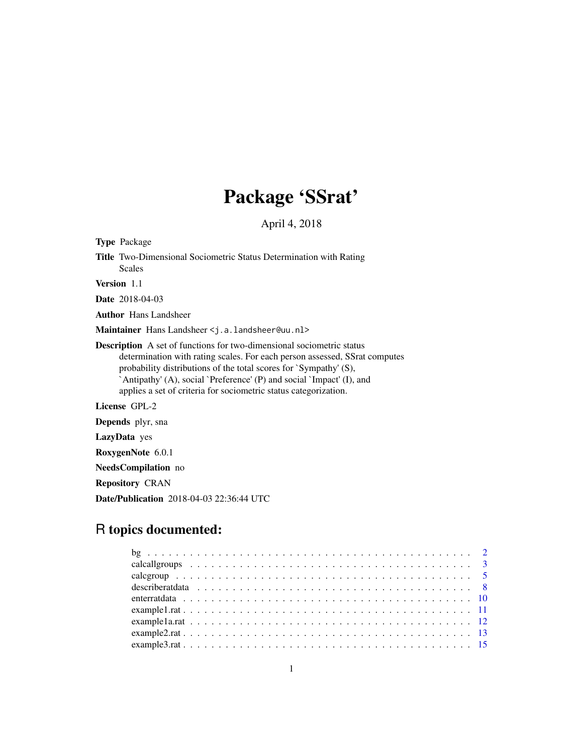# Package 'SSrat'

April 4, 2018

<span id="page-0-0"></span>

| <b>Type Package</b> |                                                                                                                                                                                                                                                                                                                                                                              |
|---------------------|------------------------------------------------------------------------------------------------------------------------------------------------------------------------------------------------------------------------------------------------------------------------------------------------------------------------------------------------------------------------------|
|                     | <b>Title</b> Two-Dimensional Sociometric Status Determination with Rating<br>Scales                                                                                                                                                                                                                                                                                          |
| <b>Version</b> 1.1  |                                                                                                                                                                                                                                                                                                                                                                              |
|                     | <b>Date</b> 2018-04-03                                                                                                                                                                                                                                                                                                                                                       |
|                     | <b>Author</b> Hans Landsheer                                                                                                                                                                                                                                                                                                                                                 |
|                     | Maintainer Hans Landsheer < j.a. landsheer@uu.nl>                                                                                                                                                                                                                                                                                                                            |
|                     | <b>Description</b> A set of functions for two-dimensional sociometric status<br>determination with rating scales. For each person assessed, SSrat computes<br>probability distributions of the total scores for `Sympathy' (S),<br>`Antipathy' (A), social `Preference' (P) and social `Impact' (I), and<br>applies a set of criteria for sociometric status categorization. |
|                     | License GPL-2                                                                                                                                                                                                                                                                                                                                                                |
|                     | <b>Depends</b> plyr, sna                                                                                                                                                                                                                                                                                                                                                     |
|                     | LazyData yes                                                                                                                                                                                                                                                                                                                                                                 |
|                     | RoxygenNote 6.0.1                                                                                                                                                                                                                                                                                                                                                            |
|                     | NeedsCompilation no                                                                                                                                                                                                                                                                                                                                                          |
|                     |                                                                                                                                                                                                                                                                                                                                                                              |

Repository CRAN

Date/Publication 2018-04-03 22:36:44 UTC

# R topics documented: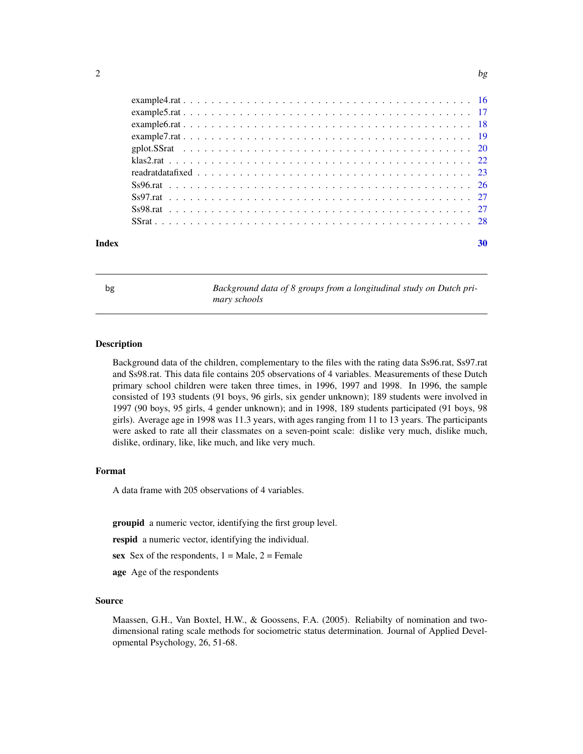<span id="page-1-0"></span>

|  |  |  |  |  |  |  |  |  |  |  |  |  |  |  |  |  | readratdata fixed $\ldots$ , $\ldots$ , $\ldots$ , $\ldots$ , $\ldots$ , $\ldots$ , $\ldots$ , $\ldots$ , $\ldots$ , $\ldots$ , $\ldots$ , $\ldots$ , $\frac{23}{23}$ |
|--|--|--|--|--|--|--|--|--|--|--|--|--|--|--|--|--|-----------------------------------------------------------------------------------------------------------------------------------------------------------------------|

<span id="page-1-1"></span>bg *Background data of 8 groups from a longitudinal study on Dutch primary schools*

# Description

Background data of the children, complementary to the files with the rating data Ss96.rat, Ss97.rat and Ss98.rat. This data file contains 205 observations of 4 variables. Measurements of these Dutch primary school children were taken three times, in 1996, 1997 and 1998. In 1996, the sample consisted of 193 students (91 boys, 96 girls, six gender unknown); 189 students were involved in 1997 (90 boys, 95 girls, 4 gender unknown); and in 1998, 189 students participated (91 boys, 98 girls). Average age in 1998 was 11.3 years, with ages ranging from 11 to 13 years. The participants were asked to rate all their classmates on a seven-point scale: dislike very much, dislike much, dislike, ordinary, like, like much, and like very much.

# Format

A data frame with 205 observations of 4 variables.

groupid a numeric vector, identifying the first group level.

respid a numeric vector, identifying the individual.

sex Sex of the respondents,  $1 = Male$ ,  $2 = Female$ 

age Age of the respondents

# Source

Maassen, G.H., Van Boxtel, H.W., & Goossens, F.A. (2005). Reliabilty of nomination and twodimensional rating scale methods for sociometric status determination. Journal of Applied Developmental Psychology, 26, 51-68.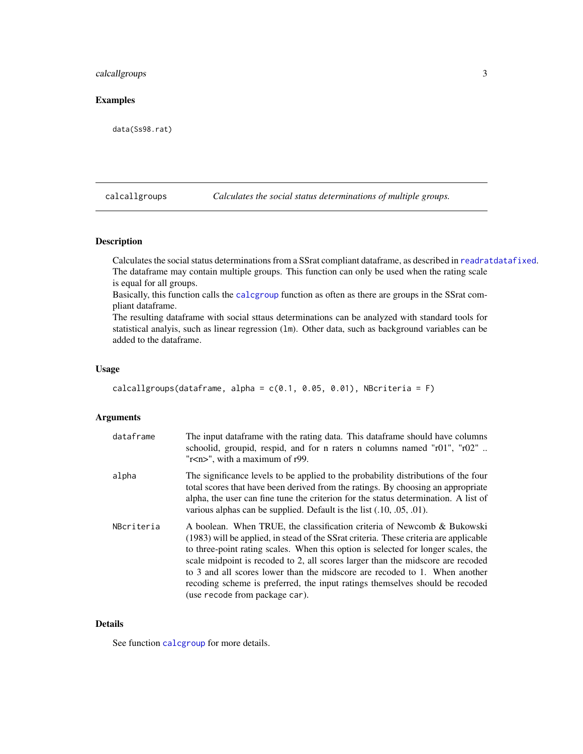# <span id="page-2-0"></span>calcallgroups 3

# Examples

data(Ss98.rat)

<span id="page-2-1"></span>calcallgroups *Calculates the social status determinations of multiple groups.*

# Description

Calculates the social status determinations from a SSrat compliant dataframe, as described in [readratdatafixed](#page-22-1). The dataframe may contain multiple groups. This function can only be used when the rating scale is equal for all groups.

Basically, this function calls the [calcgroup](#page-4-1) function as often as there are groups in the SSrat compliant dataframe.

The resulting dataframe with social sttaus determinations can be analyzed with standard tools for statistical analyis, such as linear regression (1m). Other data, such as background variables can be added to the dataframe.

# Usage

```
calcallgroups(dataframe, alpha = c(0.1, 0.05, 0.01), NBcriteria = F)
```
#### Arguments

| dataframe  | The input data frame with the rating data. This data frame should have columns<br>schoolid, groupid, respid, and for n raters n columns named $\text{Tr}01\text{''}, \text{Tr}02\text{''}$ .<br>"r <n>", with a maximum of r99.</n>                                                                                                                                                                                                                                                                                                      |
|------------|------------------------------------------------------------------------------------------------------------------------------------------------------------------------------------------------------------------------------------------------------------------------------------------------------------------------------------------------------------------------------------------------------------------------------------------------------------------------------------------------------------------------------------------|
| alpha      | The significance levels to be applied to the probability distributions of the four<br>total scores that have been derived from the ratings. By choosing an appropriate<br>alpha, the user can fine tune the criterion for the status determination. A list of<br>various alphas can be supplied. Default is the list $(.10, .05, .01)$ .                                                                                                                                                                                                 |
| NBcriteria | A boolean. When TRUE, the classification criteria of Newcomb & Bukowski<br>(1983) will be applied, in stead of the SSrat criteria. These criteria are applicable<br>to three-point rating scales. When this option is selected for longer scales, the<br>scale midpoint is recoded to 2, all scores larger than the midscore are recoded<br>to 3 and all scores lower than the midscore are recoded to 1. When another<br>recoding scheme is preferred, the input ratings themselves should be recoded<br>(use recode from package car). |

# Details

See function [calcgroup](#page-4-1) for more details.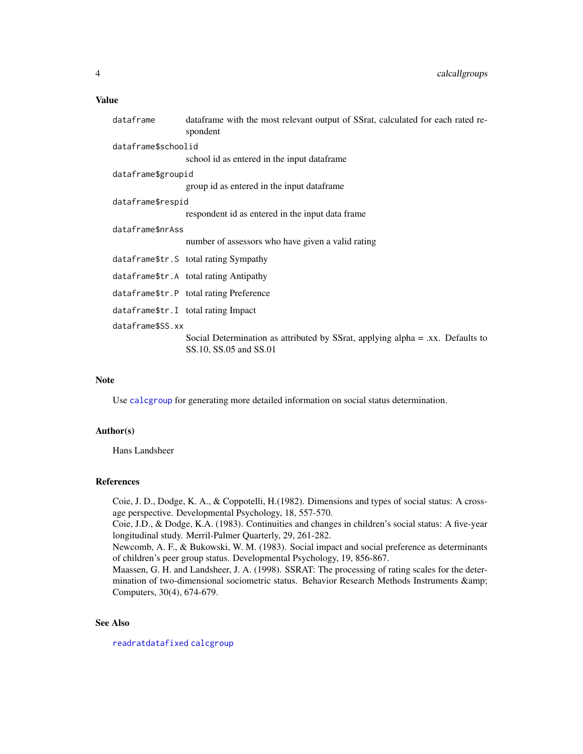<span id="page-3-0"></span>

| dataframe           | dataframe with the most relevant output of SSrat, calculated for each rated re-<br>spondent              |
|---------------------|----------------------------------------------------------------------------------------------------------|
| dataframe\$schoolid |                                                                                                          |
|                     | school id as entered in the input dataframe                                                              |
| dataframe\$groupid  |                                                                                                          |
|                     | group id as entered in the input dataframe                                                               |
| dataframe\$respid   |                                                                                                          |
|                     | respondent id as entered in the input data frame                                                         |
| dataframe\$nrAss    |                                                                                                          |
|                     | number of assessors who have given a valid rating                                                        |
|                     | dataframe\$tr.S total rating Sympathy                                                                    |
|                     | dataframe\$tr.A total rating Antipathy                                                                   |
|                     | dataframe\$tr.P total rating Preference                                                                  |
|                     | dataframe\$tr.I total rating Impact                                                                      |
| dataframe\$SS.xx    |                                                                                                          |
|                     | Social Determination as attributed by SSrat, applying alpha = .xx. Defaults to<br>SS.10, SS.05 and SS.01 |
|                     |                                                                                                          |

# Note

Use [calcgroup](#page-4-1) for generating more detailed information on social status determination.

## Author(s)

Hans Landsheer

# References

Coie, J. D., Dodge, K. A., & Coppotelli, H.(1982). Dimensions and types of social status: A crossage perspective. Developmental Psychology, 18, 557-570.

Coie, J.D., & Dodge, K.A. (1983). Continuities and changes in children's social status: A five-year longitudinal study. Merril-Palmer Quarterly, 29, 261-282.

Newcomb, A. F., & Bukowski, W. M. (1983). Social impact and social preference as determinants of children's peer group status. Developmental Psychology, 19, 856-867.

Maassen, G. H. and Landsheer, J. A. (1998). SSRAT: The processing of rating scales for the determination of two-dimensional sociometric status. Behavior Research Methods Instruments & Computers, 30(4), 674-679.

# See Also

[readratdatafixed](#page-22-1) [calcgroup](#page-4-1)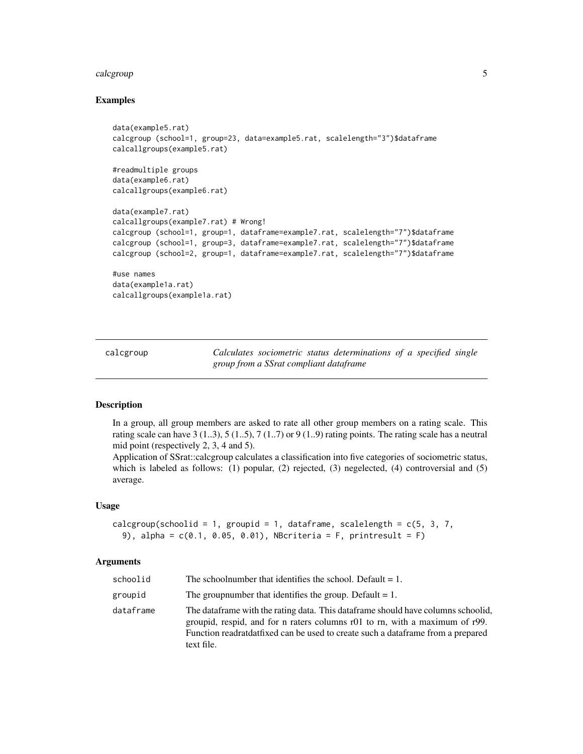#### <span id="page-4-0"></span>calcgroup 5 and 5 and 5 and 5 and 5 and 5 and 5 and 5 and 5 and 5 and 5 and 5 and 5 and 5 and 5 and 5 and 5 and 5 and 5 and 5 and 5 and 5 and 5 and 5 and 5 and 5 and 5 and 5 and 5 and 5 and 5 and 5 and 5 and 5 and 5 and 5

# Examples

```
data(example5.rat)
calcgroup (school=1, group=23, data=example5.rat, scalelength="3")$dataframe
calcallgroups(example5.rat)
#readmultiple groups
data(example6.rat)
calcallgroups(example6.rat)
data(example7.rat)
calcallgroups(example7.rat) # Wrong!
calcgroup (school=1, group=1, dataframe=example7.rat, scalelength="7")$dataframe
calcgroup (school=1, group=3, dataframe=example7.rat, scalelength="7")$dataframe
calcgroup (school=2, group=1, dataframe=example7.rat, scalelength="7")$dataframe
#use names
data(example1a.rat)
calcallgroups(example1a.rat)
```
<span id="page-4-1"></span>calcgroup *Calculates sociometric status determinations of a specified single group from a SSrat compliant dataframe*

### **Description**

In a group, all group members are asked to rate all other group members on a rating scale. This rating scale can have 3 (1..3), 5 (1..5), 7 (1..7) or 9 (1..9) rating points. The rating scale has a neutral mid point (respectively 2, 3, 4 and 5).

Application of SSrat::calcgroup calculates a classification into five categories of sociometric status, which is labeled as follows: (1) popular, (2) rejected, (3) negelected, (4) controversial and (5) average.

# Usage

```
calcgroup(schoolid = 1, groupid = 1, dataframe, scalelength = c(5, 3, 7, 1)9), alpha = c(0.1, 0.05, 0.01), NBcriteria = F, printresult = F)
```
#### Arguments

| schoolid  | The schoolnumber that identifies the school. Default $= 1$ .                                                                                                                                                                                                            |
|-----------|-------------------------------------------------------------------------------------------------------------------------------------------------------------------------------------------------------------------------------------------------------------------------|
| groupid   | The group number that identifies the group. Default $= 1$ .                                                                                                                                                                                                             |
| dataframe | The dataframe with the rating data. This dataframe should have columns schoolid,<br>groupid, respid, and for n raters columns $r(0)$ to rn, with a maximum of $r(9)$ .<br>Function readrated read can be used to create such a data frame from a prepared<br>text file. |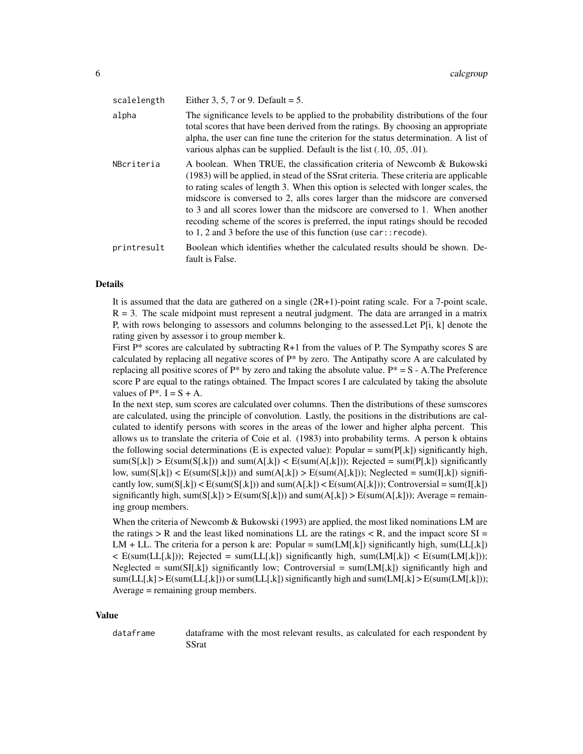| scalelength | Either 3, 5, 7 or 9. Default = $5$ .                                                                                                                                                                                                                                                                                                                                                                                                                                                                                                                                               |
|-------------|------------------------------------------------------------------------------------------------------------------------------------------------------------------------------------------------------------------------------------------------------------------------------------------------------------------------------------------------------------------------------------------------------------------------------------------------------------------------------------------------------------------------------------------------------------------------------------|
| alpha       | The significance levels to be applied to the probability distributions of the four<br>total scores that have been derived from the ratings. By choosing an appropriate<br>alpha, the user can fine tune the criterion for the status determination. A list of<br>various alphas can be supplied. Default is the list (.10, .05, .01).                                                                                                                                                                                                                                              |
| NBcriteria  | A boolean. When TRUE, the classification criteria of Newcomb & Bukowski<br>(1983) will be applied, in stead of the SSrat criteria. These criteria are applicable<br>to rating scales of length 3. When this option is selected with longer scales, the<br>midscore is conversed to 2, alls cores larger than the midscore are conversed<br>to 3 and all scores lower than the midscore are conversed to 1. When another<br>recoding scheme of the scores is preferred, the input ratings should be recoded<br>to 1, 2 and 3 before the use of this function (use $car:$ : recode). |
| printresult | Boolean which identifies whether the calculated results should be shown. De-<br>fault is False.                                                                                                                                                                                                                                                                                                                                                                                                                                                                                    |

#### Details

It is assumed that the data are gathered on a single (2R+1)-point rating scale. For a 7-point scale,  $R = 3$ . The scale midpoint must represent a neutral judgment. The data are arranged in a matrix P, with rows belonging to assessors and columns belonging to the assessed.Let P[i, k] denote the rating given by assessor i to group member k.

First  $P^*$  scores are calculated by subtracting  $R+1$  from the values of P. The Sympathy scores S are calculated by replacing all negative scores of P\* by zero. The Antipathy score A are calculated by replacing all positive scores of  $P^*$  by zero and taking the absolute value.  $P^* = S - A$ . The Preference score P are equal to the ratings obtained. The Impact scores I are calculated by taking the absolute values of  $P^*$ . I = S + A.

In the next step, sum scores are calculated over columns. Then the distributions of these sumscores are calculated, using the principle of convolution. Lastly, the positions in the distributions are calculated to identify persons with scores in the areas of the lower and higher alpha percent. This allows us to translate the criteria of Coie et al. (1983) into probability terms. A person k obtains the following social determinations (E is expected value): Popular =  $sum(P[k])$  significantly high,  $sum(S[k])$  >  $E(sum(S[k]))$  and  $sum(A[k])$  <  $E(sum(A[k]))$ ; Rejected =  $sum(P[k])$  significantly low, sum( $S[k]$ ) <  $E(\text{sum}(S[k]))$  and sum( $A[k]$ ) >  $E(\text{sum}(A[k]))$ ; Neglected = sum( $I[k]$ ) significantly low, sum( $S[k]$ ) <  $E(\text{sum}(S[k]))$  and sum( $A[k]$ ) <  $E(\text{sum}(A[k]))$ ; Controversial = sum( $I[k]$ ) significantly high, sum( $S[k]$ ) >  $E(\text{sum}(S[k]))$  and sum( $A[k]$ ) >  $E(\text{sum}(A[k]))$ ; Average = remaining group members.

When the criteria of Newcomb & Bukowski (1993) are applied, the most liked nominations LM are the ratings  $> R$  and the least liked nominations LL are the ratings  $< R$ , and the impact score SI = LM + LL. The criteria for a person k are: Popular =  $sum(LM[k])$  significantly high, sum(LL[,k])  $\leq$  E(sum(LL[,k])); Rejected = sum(LL[,k]) significantly high, sum(LM[,k])  $\leq$  E(sum(LM[,k])); Neglected = sum(SI[,k]) significantly low; Controversial = sum(LM[,k]) significantly high and  $sum(LL[k] > E(sum(LL[k]))$  or sum( $LL[k]$ ) significantly high and sum( $LM[k] > E(sum(LM[k]))$ ; Average = remaining group members.

#### Value

dataframe dataframe with the most relevant results, as calculated for each respondent by **SSrat**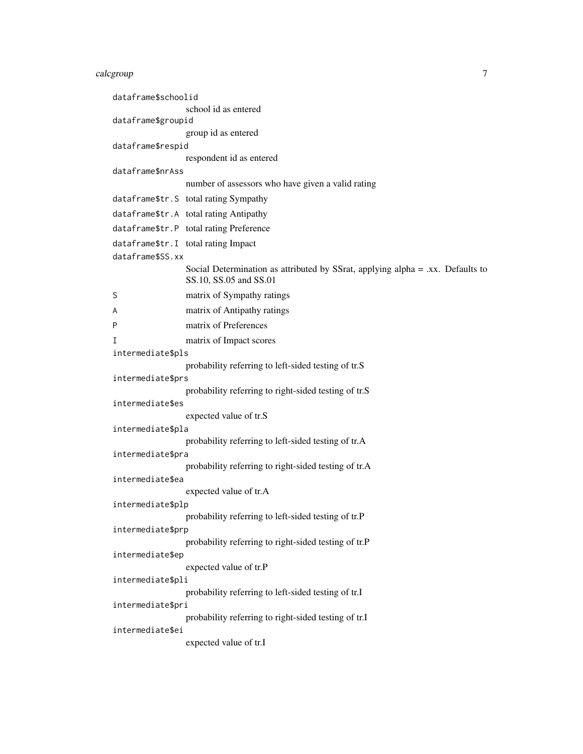# calcgroup 7

| dataframe\$schoolid |                                                                                                          |
|---------------------|----------------------------------------------------------------------------------------------------------|
|                     | school id as entered                                                                                     |
| dataframe\$groupid  |                                                                                                          |
|                     | group id as entered                                                                                      |
| dataframe\$respid   | respondent id as entered                                                                                 |
| dataframe\$nrAss    |                                                                                                          |
|                     | number of assessors who have given a valid rating                                                        |
|                     | dataframe\$tr.S total rating Sympathy                                                                    |
|                     | dataframe\$tr.A total rating Antipathy                                                                   |
|                     | dataframe\$tr.P total rating Preference                                                                  |
|                     | dataframe\$tr.I total rating Impact                                                                      |
| dataframe\$SS.xx    |                                                                                                          |
|                     | Social Determination as attributed by SSrat, applying alpha = .xx. Defaults to<br>SS.10, SS.05 and SS.01 |
| S                   | matrix of Sympathy ratings                                                                               |
| A                   | matrix of Antipathy ratings                                                                              |
| P                   | matrix of Preferences                                                                                    |
| т                   | matrix of Impact scores                                                                                  |
| intermediate\$pls   |                                                                                                          |
|                     | probability referring to left-sided testing of tr.S                                                      |
| intermediate\$prs   | probability referring to right-sided testing of tr.S                                                     |
| intermediate\$es    |                                                                                                          |
|                     | expected value of tr.S                                                                                   |
| intermediate\$pla   |                                                                                                          |
|                     | probability referring to left-sided testing of tr.A                                                      |
| intermediate\$pra   |                                                                                                          |
| intermediate\$ea    | probability referring to right-sided testing of tr.A                                                     |
|                     | expected value of tr.A                                                                                   |
| intermediate\$plp   |                                                                                                          |
|                     | probability referring to left-sided testing of tr.P                                                      |
| intermediate\$prp   |                                                                                                          |
|                     | probability referring to right-sided testing of tr.P                                                     |
| intermediate\$ep    | expected value of tr.P                                                                                   |
| intermediate\$pli   |                                                                                                          |
|                     | probability referring to left-sided testing of tr.I                                                      |
| intermediate\$pri   |                                                                                                          |
|                     | probability referring to right-sided testing of tr.I                                                     |
| intermediate\$ei    |                                                                                                          |
|                     | expected value of tr.I                                                                                   |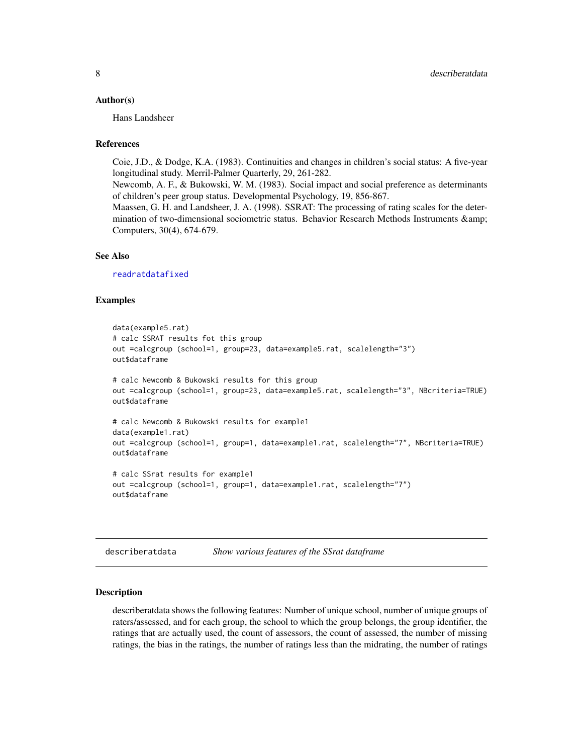#### <span id="page-7-0"></span>Author(s)

Hans Landsheer

### References

Coie, J.D., & Dodge, K.A. (1983). Continuities and changes in children's social status: A five-year longitudinal study. Merril-Palmer Quarterly, 29, 261-282.

Newcomb, A. F., & Bukowski, W. M. (1983). Social impact and social preference as determinants of children's peer group status. Developmental Psychology, 19, 856-867.

Maassen, G. H. and Landsheer, J. A. (1998). SSRAT: The processing of rating scales for the determination of two-dimensional sociometric status. Behavior Research Methods Instruments & Computers, 30(4), 674-679.

# See Also

[readratdatafixed](#page-22-1)

### Examples

```
data(example5.rat)
# calc SSRAT results fot this group
out =calcgroup (school=1, group=23, data=example5.rat, scalelength="3")
out$dataframe
# calc Newcomb & Bukowski results for this group
out =calcgroup (school=1, group=23, data=example5.rat, scalelength="3", NBcriteria=TRUE)
out$dataframe
# calc Newcomb & Bukowski results for example1
data(example1.rat)
out =calcgroup (school=1, group=1, data=example1.rat, scalelength="7", NBcriteria=TRUE)
out$dataframe
# calc SSrat results for example1
out =calcgroup (school=1, group=1, data=example1.rat, scalelength="7")
```

| describeratdata | Show various features of the SSrat dataframe |  |  |
|-----------------|----------------------------------------------|--|--|
|                 |                                              |  |  |

#### Description

out\$dataframe

describeratdata shows the following features: Number of unique school, number of unique groups of raters/assessed, and for each group, the school to which the group belongs, the group identifier, the ratings that are actually used, the count of assessors, the count of assessed, the number of missing ratings, the bias in the ratings, the number of ratings less than the midrating, the number of ratings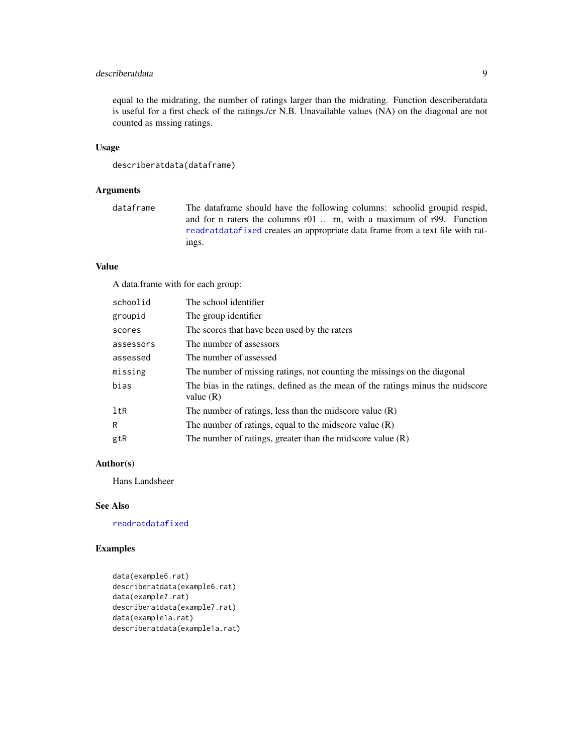# <span id="page-8-0"></span>describeratdata 9

equal to the midrating, the number of ratings larger than the midrating. Function describeratdata is useful for a first check of the ratings./cr N.B. Unavailable values (NA) on the diagonal are not counted as mssing ratings.

# Usage

```
describeratdata(dataframe)
```
# Arguments

dataframe The dataframe should have the following columns: schoolid groupid respid, and for n raters the columns r01 .. rn, with a maximum of r99. Function [readratdatafixed](#page-22-1) creates an appropriate data frame from a text file with ratings.

# Value

A data.frame with for each group:

| schoolid  | The school identifier                                                                         |
|-----------|-----------------------------------------------------------------------------------------------|
| groupid   | The group identifier                                                                          |
| scores    | The scores that have been used by the raters                                                  |
| assessors | The number of assessors                                                                       |
| assessed  | The number of assessed                                                                        |
| missing   | The number of missing ratings, not counting the missings on the diagonal                      |
| bias      | The bias in the ratings, defined as the mean of the ratings minus the midscore<br>value $(R)$ |
| ltR       | The number of ratings, less than the midscore value $(R)$                                     |
| R         | The number of ratings, equal to the midscore value $(R)$                                      |
| gtR       | The number of ratings, greater than the midscore value $(R)$                                  |

# Author(s)

Hans Landsheer

# See Also

[readratdatafixed](#page-22-1)

## Examples

```
data(example6.rat)
describeratdata(example6.rat)
data(example7.rat)
describeratdata(example7.rat)
data(example1a.rat)
describeratdata(example1a.rat)
```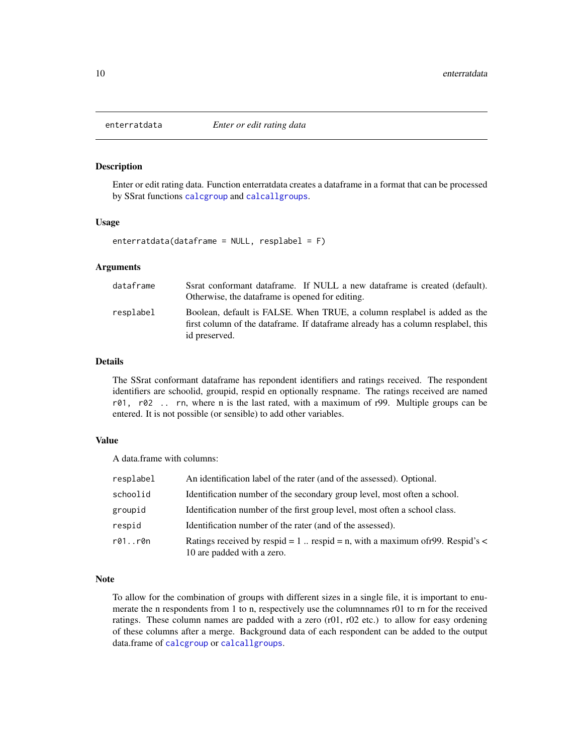<span id="page-9-0"></span>

#### Description

Enter or edit rating data. Function enterratdata creates a dataframe in a format that can be processed by SSrat functions [calcgroup](#page-4-1) and [calcallgroups](#page-2-1).

#### Usage

enterratdata(dataframe = NULL, resplabel = F)

#### Arguments

| dataframe | Ssrat conformant data frame. If NULL a new data frame is created (default).<br>Otherwise, the data frame is opened for editing.                                               |
|-----------|-------------------------------------------------------------------------------------------------------------------------------------------------------------------------------|
| resplabel | Boolean, default is FALSE. When TRUE, a column resplabel is added as the<br>first column of the dataframe. If dataframe already has a column resplabel, this<br>id preserved. |

#### Details

The SSrat conformant dataframe has repondent identifiers and ratings received. The respondent identifiers are schoolid, groupid, respid en optionally respname. The ratings received are named r01, r02 .. rn, where n is the last rated, with a maximum of r99. Multiple groups can be entered. It is not possible (or sensible) to add other variables.

# Value

A data.frame with columns:

| resplabel | An identification label of the rater (and of the assessed). Optional.                                           |
|-----------|-----------------------------------------------------------------------------------------------------------------|
| schoolid  | Identification number of the secondary group level, most often a school.                                        |
| groupid   | Identification number of the first group level, most often a school class.                                      |
| respid    | Identification number of the rater (and of the assessed).                                                       |
| r01r0n    | Ratings received by respid = 1. respid = n, with a maximum of r99. Respid's $\lt$<br>10 are padded with a zero. |

#### Note

To allow for the combination of groups with different sizes in a single file, it is important to enumerate the n respondents from 1 to n, respectively use the columnnames r01 to rn for the received ratings. These column names are padded with a zero  $(r01, r02$  etc.) to allow for easy ordening of these columns after a merge. Background data of each respondent can be added to the output data.frame of [calcgroup](#page-4-1) or [calcallgroups](#page-2-1).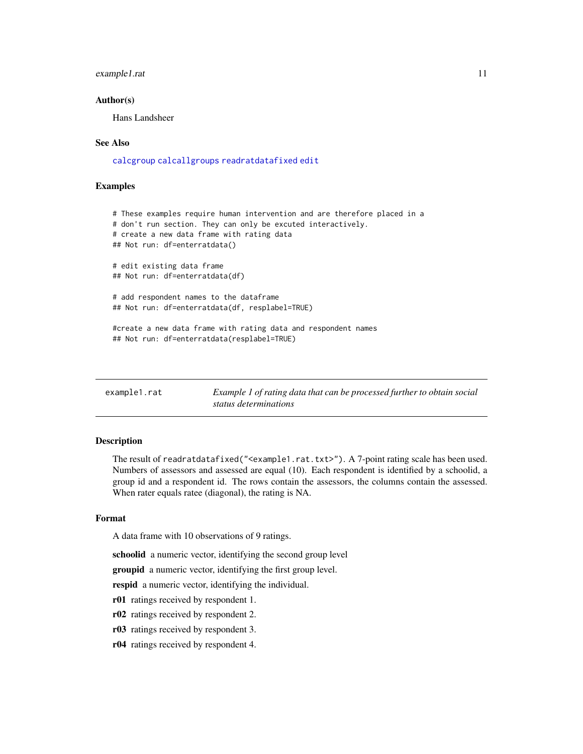# <span id="page-10-0"></span>example1.rat 11

#### Author(s)

Hans Landsheer

### See Also

[calcgroup](#page-4-1) [calcallgroups](#page-2-1) [readratdatafixed](#page-22-1) [edit](#page-0-0)

# Examples

```
# These examples require human intervention and are therefore placed in a
# don't run section. They can only be excuted interactively.
# create a new data frame with rating data
## Not run: df=enterratdata()
# edit existing data frame
## Not run: df=enterratdata(df)
# add respondent names to the dataframe
## Not run: df=enterratdata(df, resplabel=TRUE)
#create a new data frame with rating data and respondent names
## Not run: df=enterratdata(resplabel=TRUE)
```
<span id="page-10-1"></span>

| example1.rat | Example 1 of rating data that can be processed further to obtain social |
|--------------|-------------------------------------------------------------------------|
|              | status determinations                                                   |

### Description

The result of readratdatafixed("<example1.rat.txt>"). A 7-point rating scale has been used. Numbers of assessors and assessed are equal (10). Each respondent is identified by a schoolid, a group id and a respondent id. The rows contain the assessors, the columns contain the assessed. When rater equals ratee (diagonal), the rating is NA.

# Format

A data frame with 10 observations of 9 ratings.

schoolid a numeric vector, identifying the second group level

groupid a numeric vector, identifying the first group level.

respid a numeric vector, identifying the individual.

- r01 ratings received by respondent 1.
- r02 ratings received by respondent 2.
- r03 ratings received by respondent 3.
- r04 ratings received by respondent 4.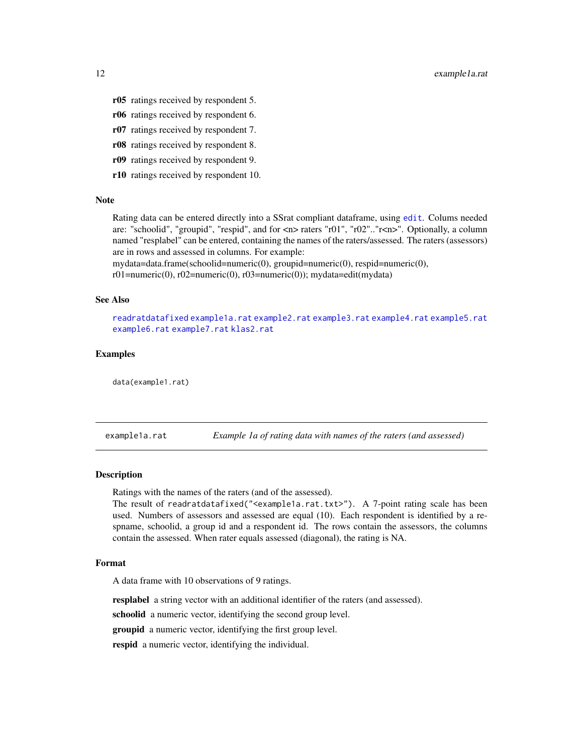- <span id="page-11-0"></span>r05 ratings received by respondent 5.
- r06 ratings received by respondent 6.
- r07 ratings received by respondent 7.
- r08 ratings received by respondent 8.
- r09 ratings received by respondent 9.
- r10 ratings received by respondent 10.

#### Note

Rating data can be entered directly into a SSrat compliant dataframe, using [edit](#page-0-0). Colums needed are: "schoolid", "groupid", "respid", and for <n> raters "r01", "r02".."r<n>". Optionally, a column named "resplabel" can be entered, containing the names of the raters/assessed. The raters (assessors) are in rows and assessed in columns. For example:

mydata=data.frame(schoolid=numeric(0), groupid=numeric(0), respid=numeric(0),

r01=numeric(0), r02=numeric(0), r03=numeric(0)); mydata=edit(mydata)

# See Also

[readratdatafixed](#page-22-1) [example1a.rat](#page-11-1) [example2.rat](#page-12-1) [example3.rat](#page-14-1) [example4.rat](#page-15-1) [example5.rat](#page-16-1) [example6.rat](#page-17-1) [example7.rat](#page-18-1) [klas2.rat](#page-21-1)

#### Examples

data(example1.rat)

<span id="page-11-1"></span>example1a.rat *Example 1a of rating data with names of the raters (and assessed)*

#### **Description**

Ratings with the names of the raters (and of the assessed).

The result of readratdatafixed("<example1a.rat.txt>"). A 7-point rating scale has been used. Numbers of assessors and assessed are equal (10). Each respondent is identified by a respname, schoolid, a group id and a respondent id. The rows contain the assessors, the columns contain the assessed. When rater equals assessed (diagonal), the rating is NA.

# Format

A data frame with 10 observations of 9 ratings.

resplabel a string vector with an additional identifier of the raters (and assessed).

schoolid a numeric vector, identifying the second group level.

**groupid** a numeric vector, identifying the first group level.

respid a numeric vector, identifying the individual.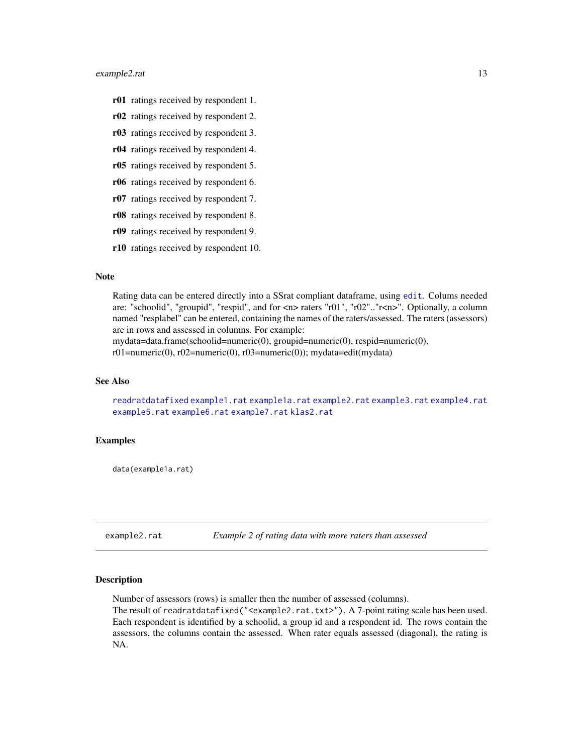## <span id="page-12-0"></span>example2.rat 13

- r01 ratings received by respondent 1.
- r02 ratings received by respondent 2.
- r03 ratings received by respondent 3.
- r04 ratings received by respondent 4.
- r05 ratings received by respondent 5.
- r06 ratings received by respondent 6.
- r07 ratings received by respondent 7.
- r08 ratings received by respondent 8.
- r09 ratings received by respondent 9.
- r10 ratings received by respondent 10.

# Note

Rating data can be entered directly into a SSrat compliant dataframe, using [edit](#page-0-0). Colums needed are: "schoolid", "groupid", "respid", and for <n> raters "r01", "r02".."r<n>". Optionally, a column named "resplabel" can be entered, containing the names of the raters/assessed. The raters (assessors) are in rows and assessed in columns. For example:

mydata=data.frame(schoolid=numeric(0), groupid=numeric(0), respid=numeric(0),

r01=numeric(0), r02=numeric(0), r03=numeric(0)); mydata=edit(mydata)

# See Also

[readratdatafixed](#page-22-1) [example1.rat](#page-10-1) [example1a.rat](#page-11-1) [example2.rat](#page-12-1) [example3.rat](#page-14-1) [example4.rat](#page-15-1) [example5.rat](#page-16-1) [example6.rat](#page-17-1) [example7.rat](#page-18-1) [klas2.rat](#page-21-1)

# Examples

data(example1a.rat)

<span id="page-12-1"></span>example2.rat *Example 2 of rating data with more raters than assessed*

#### Description

Number of assessors (rows) is smaller then the number of assessed (columns).

The result of readratdatafixed("<example2.rat.txt>"). A 7-point rating scale has been used. Each respondent is identified by a schoolid, a group id and a respondent id. The rows contain the assessors, the columns contain the assessed. When rater equals assessed (diagonal), the rating is NA.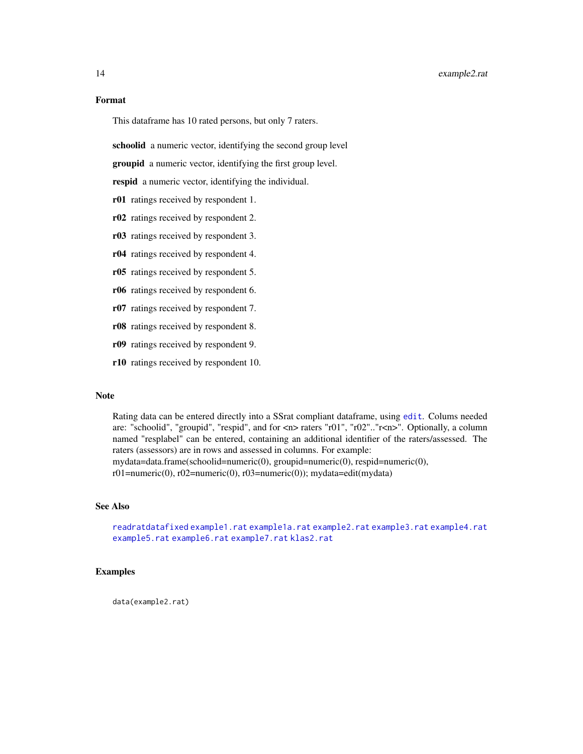# <span id="page-13-0"></span>Format

This dataframe has 10 rated persons, but only 7 raters.

schoolid a numeric vector, identifying the second group level

**groupid** a numeric vector, identifying the first group level.

respid a numeric vector, identifying the individual.

- r01 ratings received by respondent 1.
- r02 ratings received by respondent 2.
- r03 ratings received by respondent 3.
- r04 ratings received by respondent 4.
- r05 ratings received by respondent 5.
- r06 ratings received by respondent 6.
- r07 ratings received by respondent 7.
- r08 ratings received by respondent 8.
- r09 ratings received by respondent 9.
- r10 ratings received by respondent 10.

#### Note

Rating data can be entered directly into a SSrat compliant dataframe, using [edit](#page-0-0). Colums needed are: "schoolid", "groupid", "respid", and for <n> raters "r01", "r02".."r<n>". Optionally, a column named "resplabel" can be entered, containing an additional identifier of the raters/assessed. The raters (assessors) are in rows and assessed in columns. For example: mydata=data.frame(schoolid=numeric(0), groupid=numeric(0), respid=numeric(0), r01=numeric(0), r02=numeric(0), r03=numeric(0)); mydata=edit(mydata)

# See Also

[readratdatafixed](#page-22-1) [example1.rat](#page-10-1) [example1a.rat](#page-11-1) [example2.rat](#page-12-1) [example3.rat](#page-14-1) [example4.rat](#page-15-1) [example5.rat](#page-16-1) [example6.rat](#page-17-1) [example7.rat](#page-18-1) [klas2.rat](#page-21-1)

# Examples

data(example2.rat)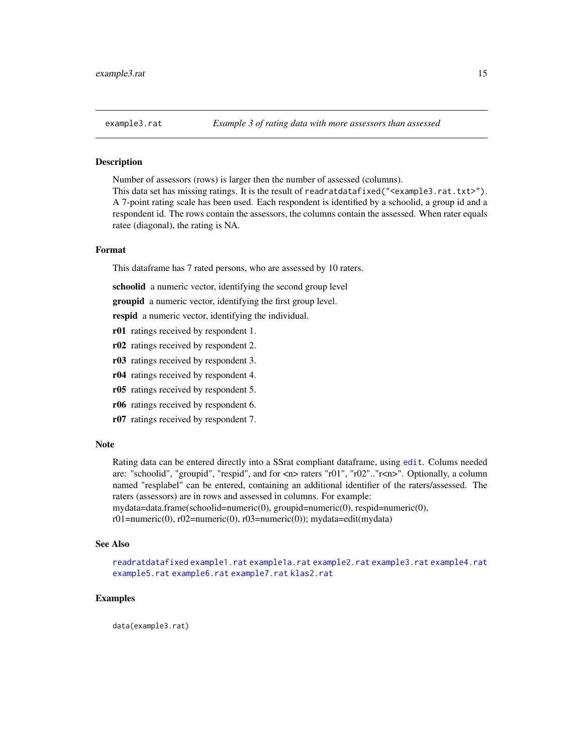# <span id="page-14-1"></span><span id="page-14-0"></span>**Description**

Number of assessors (rows) is larger then the number of assessed (columns).

This data set has missing ratings. It is the result of readratdatafixed("<example3.rat.txt>"). A 7-point rating scale has been used. Each respondent is identified by a schoolid, a group id and a respondent id. The rows contain the assessors, the columns contain the assessed. When rater equals ratee (diagonal), the rating is NA.

# Format

This dataframe has 7 rated persons, who are assessed by 10 raters.

schoolid a numeric vector, identifying the second group level

groupid a numeric vector, identifying the first group level.

respid a numeric vector, identifying the individual.

- r01 ratings received by respondent 1.
- r02 ratings received by respondent 2.
- r03 ratings received by respondent 3.
- r04 ratings received by respondent 4.
- r05 ratings received by respondent 5.
- r06 ratings received by respondent 6.
- r07 ratings received by respondent 7.

#### Note

Rating data can be entered directly into a SSrat compliant dataframe, using [edit](#page-0-0). Colums needed are: "schoolid", "groupid", "respid", and for <n> raters "r01", "r02".."r<n>". Optionally, a column named "resplabel" can be entered, containing an additional identifier of the raters/assessed. The raters (assessors) are in rows and assessed in columns. For example:

mydata=data.frame(schoolid=numeric(0), groupid=numeric(0), respid=numeric(0),

r01=numeric(0), r02=numeric(0), r03=numeric(0)); mydata=edit(mydata)

#### See Also

[readratdatafixed](#page-22-1) [example1.rat](#page-10-1) [example1a.rat](#page-11-1) [example2.rat](#page-12-1) [example3.rat](#page-14-1) [example4.rat](#page-15-1) [example5.rat](#page-16-1) [example6.rat](#page-17-1) [example7.rat](#page-18-1) [klas2.rat](#page-21-1)

#### Examples

data(example3.rat)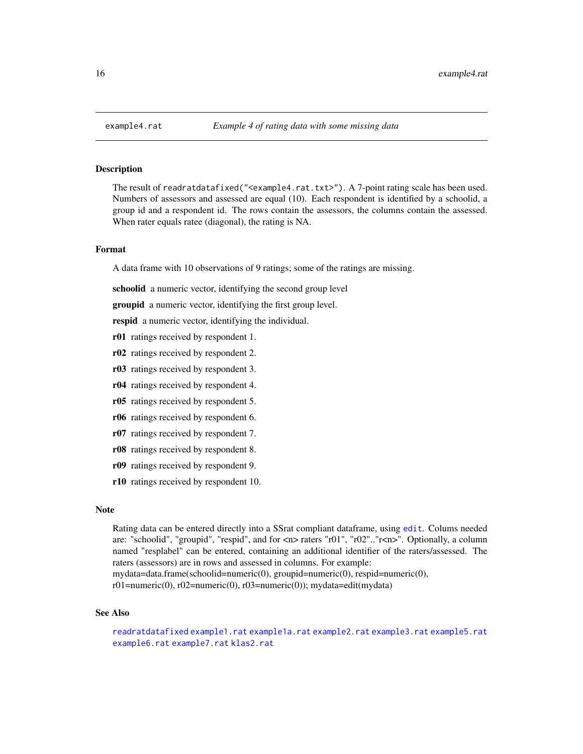# **Description**

The result of readratdatafixed("<example4.rat.txt>"). A 7-point rating scale has been used. Numbers of assessors and assessed are equal (10). Each respondent is identified by a schoolid, a group id and a respondent id. The rows contain the assessors, the columns contain the assessed. When rater equals ratee (diagonal), the rating is NA.

# Format

A data frame with 10 observations of 9 ratings; some of the ratings are missing.

schoolid a numeric vector, identifying the second group level

groupid a numeric vector, identifying the first group level.

respid a numeric vector, identifying the individual.

- r01 ratings received by respondent 1.
- r02 ratings received by respondent 2.
- r03 ratings received by respondent 3.
- r04 ratings received by respondent 4.
- r05 ratings received by respondent 5.
- r06 ratings received by respondent 6.
- r07 ratings received by respondent 7.
- r08 ratings received by respondent 8.
- r09 ratings received by respondent 9.
- r10 ratings received by respondent 10.

# Note

Rating data can be entered directly into a SSrat compliant dataframe, using [edit](#page-0-0). Colums needed are: "schoolid", "groupid", "respid", and for <n> raters "r01", "r02".."r<n>". Optionally, a column named "resplabel" can be entered, containing an additional identifier of the raters/assessed. The raters (assessors) are in rows and assessed in columns. For example:

mydata=data.frame(schoolid=numeric(0), groupid=numeric(0), respid=numeric(0),

r01=numeric(0), r02=numeric(0), r03=numeric(0)); mydata=edit(mydata)

# See Also

```
readratdatafixed example1.rat example1a.rat example2.rat example3.rat example5.rat
example6.rat example7.rat klas2.rat
```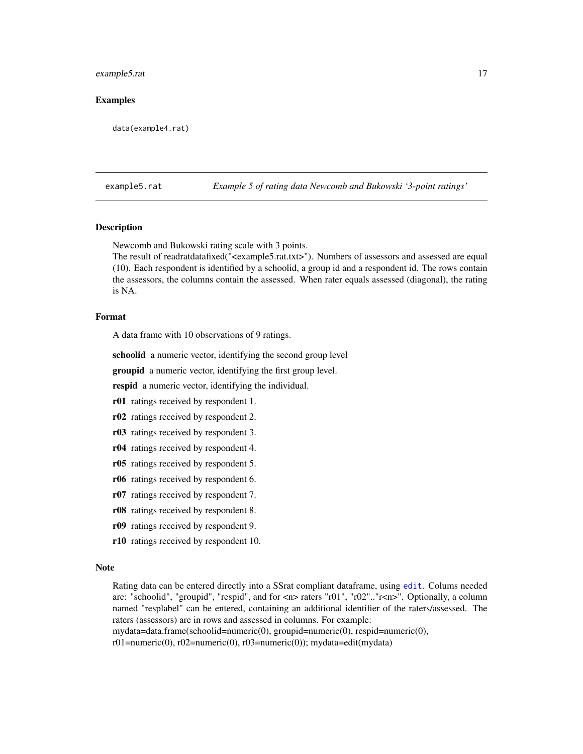#### <span id="page-16-0"></span>example5.rat 17

# Examples

data(example4.rat)

<span id="page-16-1"></span>example5.rat *Example 5 of rating data Newcomb and Bukowski '3-point ratings'*

# Description

Newcomb and Bukowski rating scale with 3 points.

The result of readratdatafixed("<example5.rat.txt>"). Numbers of assessors and assessed are equal (10). Each respondent is identified by a schoolid, a group id and a respondent id. The rows contain the assessors, the columns contain the assessed. When rater equals assessed (diagonal), the rating is NA.

#### Format

A data frame with 10 observations of 9 ratings.

schoolid a numeric vector, identifying the second group level

groupid a numeric vector, identifying the first group level.

respid a numeric vector, identifying the individual.

r01 ratings received by respondent 1.

- r02 ratings received by respondent 2.
- r03 ratings received by respondent 3.
- r04 ratings received by respondent 4.
- r05 ratings received by respondent 5.
- r06 ratings received by respondent 6.
- r07 ratings received by respondent 7.
- r08 ratings received by respondent 8.
- r09 ratings received by respondent 9.
- r10 ratings received by respondent 10.

#### Note

Rating data can be entered directly into a SSrat compliant dataframe, using [edit](#page-0-0). Colums needed are: "schoolid", "groupid", "respid", and for <n> raters "r01", "r02".."r<n>". Optionally, a column named "resplabel" can be entered, containing an additional identifier of the raters/assessed. The raters (assessors) are in rows and assessed in columns. For example:

mydata=data.frame(schoolid=numeric(0), groupid=numeric(0), respid=numeric(0),

r01=numeric(0), r02=numeric(0), r03=numeric(0)); mydata=edit(mydata)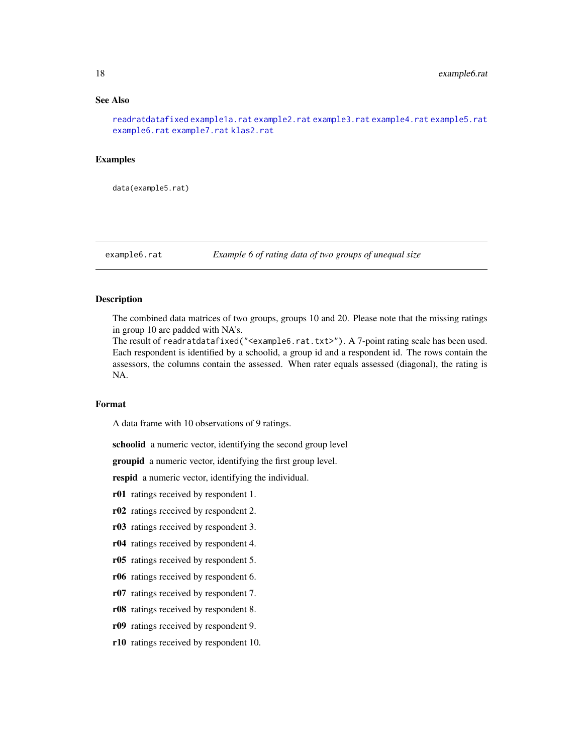# <span id="page-17-0"></span>See Also

[readratdatafixed](#page-22-1) [example1a.rat](#page-11-1) [example2.rat](#page-12-1) [example3.rat](#page-14-1) [example4.rat](#page-15-1) [example5.rat](#page-16-1) [example6.rat](#page-17-1) [example7.rat](#page-18-1) [klas2.rat](#page-21-1)

#### Examples

data(example5.rat)

<span id="page-17-1"></span>example6.rat *Example 6 of rating data of two groups of unequal size*

# Description

The combined data matrices of two groups, groups 10 and 20. Please note that the missing ratings in group 10 are padded with NA's.

The result of readratdatafixed("<example6.rat.txt>"). A 7-point rating scale has been used. Each respondent is identified by a schoolid, a group id and a respondent id. The rows contain the assessors, the columns contain the assessed. When rater equals assessed (diagonal), the rating is NA.

# Format

A data frame with 10 observations of 9 ratings.

schoolid a numeric vector, identifying the second group level

groupid a numeric vector, identifying the first group level.

respid a numeric vector, identifying the individual.

r01 ratings received by respondent 1.

- r02 ratings received by respondent 2.
- r03 ratings received by respondent 3.
- r04 ratings received by respondent 4.
- r05 ratings received by respondent 5.
- r06 ratings received by respondent 6.
- r07 ratings received by respondent 7.
- r08 ratings received by respondent 8.
- r09 ratings received by respondent 9.
- r10 ratings received by respondent 10.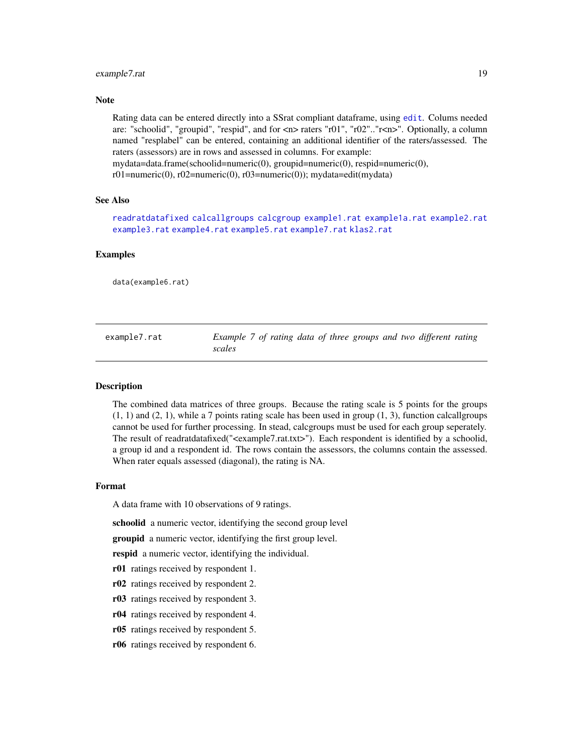# <span id="page-18-0"></span>example7.rat 19

# **Note**

Rating data can be entered directly into a SSrat compliant dataframe, using [edit](#page-0-0). Colums needed are: "schoolid", "groupid", "respid", and for  $\langle n \rangle$  raters "r01", "r02".." $\langle n \rangle$ ". Optionally, a column named "resplabel" can be entered, containing an additional identifier of the raters/assessed. The raters (assessors) are in rows and assessed in columns. For example: mydata=data.frame(schoolid=numeric(0), groupid=numeric(0), respid=numeric(0),

 $r01=$ numeric $(0)$ ,  $r02=$ numeric $(0)$ ,  $r03=$ numeric $(0)$ ); mydata=edit(mydata)

# See Also

[readratdatafixed](#page-22-1) [calcallgroups](#page-2-1) [calcgroup](#page-4-1) [example1.rat](#page-10-1) [example1a.rat](#page-11-1) [example2.rat](#page-12-1) [example3.rat](#page-14-1) [example4.rat](#page-15-1) [example5.rat](#page-16-1) [example7.rat](#page-18-1) [klas2.rat](#page-21-1)

# Examples

data(example6.rat)

<span id="page-18-1"></span>

| example7.rat | Example 7 of rating data of three groups and two different rating |  |  |  |  |
|--------------|-------------------------------------------------------------------|--|--|--|--|
|              | scales                                                            |  |  |  |  |

#### Description

The combined data matrices of three groups. Because the rating scale is 5 points for the groups  $(1, 1)$  and  $(2, 1)$ , while a 7 points rating scale has been used in group  $(1, 3)$ , function calcallgroups cannot be used for further processing. In stead, calcgroups must be used for each group seperately. The result of readratdatafixed("<example7.rat.txt>"). Each respondent is identified by a schoolid, a group id and a respondent id. The rows contain the assessors, the columns contain the assessed. When rater equals assessed (diagonal), the rating is NA.

# Format

A data frame with 10 observations of 9 ratings.

schoolid a numeric vector, identifying the second group level

groupid a numeric vector, identifying the first group level.

respid a numeric vector, identifying the individual.

- r01 ratings received by respondent 1.
- r02 ratings received by respondent 2.
- r03 ratings received by respondent 3.
- r04 ratings received by respondent 4.
- r05 ratings received by respondent 5.
- r06 ratings received by respondent 6.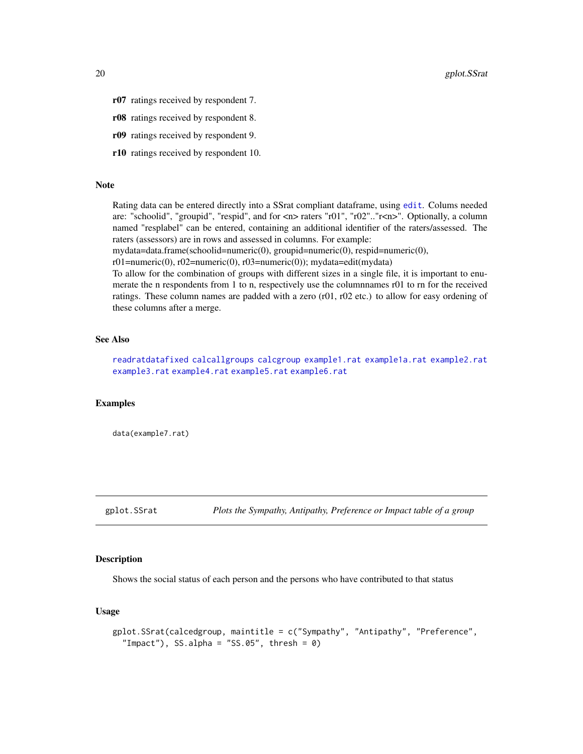- <span id="page-19-0"></span>r07 ratings received by respondent 7.
- r08 ratings received by respondent 8.
- r09 ratings received by respondent 9.
- r10 ratings received by respondent 10.

#### Note

Rating data can be entered directly into a SSrat compliant dataframe, using [edit](#page-0-0). Colums needed are: "schoolid", "groupid", "respid", and for <n> raters "r01", "r02".."r<n>". Optionally, a column named "resplabel" can be entered, containing an additional identifier of the raters/assessed. The raters (assessors) are in rows and assessed in columns. For example:

mydata=data.frame(schoolid=numeric(0), groupid=numeric(0), respid=numeric(0),

r01=numeric(0), r02=numeric(0), r03=numeric(0)); mydata=edit(mydata)

To allow for the combination of groups with different sizes in a single file, it is important to enumerate the n respondents from 1 to n, respectively use the columnnames r01 to rn for the received ratings. These column names are padded with a zero (r01, r02 etc.) to allow for easy ordening of these columns after a merge.

# See Also

[readratdatafixed](#page-22-1) [calcallgroups](#page-2-1) [calcgroup](#page-4-1) [example1.rat](#page-10-1) [example1a.rat](#page-11-1) [example2.rat](#page-12-1) [example3.rat](#page-14-1) [example4.rat](#page-15-1) [example5.rat](#page-16-1) [example6.rat](#page-17-1)

# Examples

data(example7.rat)

gplot.SSrat *Plots the Sympathy, Antipathy, Preference or Impact table of a group*

# Description

Shows the social status of each person and the persons who have contributed to that status

#### Usage

```
gplot.SSrat(calcedgroup, maintitle = c("Sympathy", "Antipathy", "Preference",
  "Impact"), SS.alpha = "SS.05", thresh = 0)
```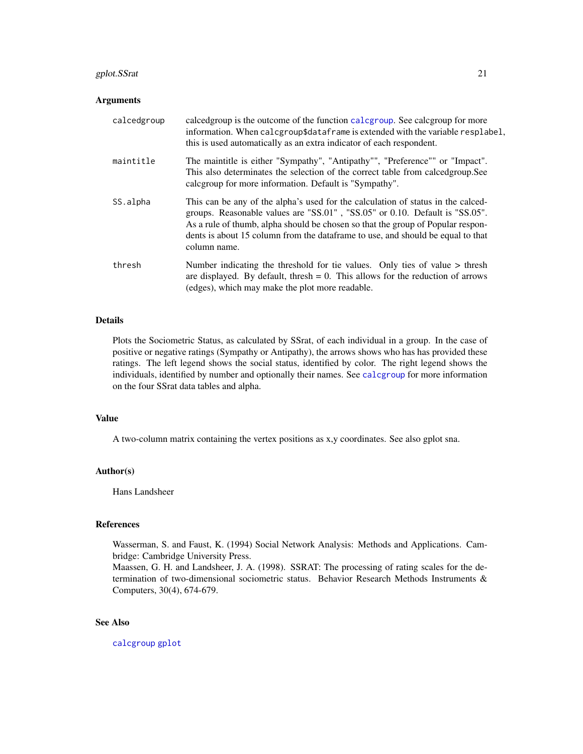# <span id="page-20-0"></span>gplot.SSrat 21

#### Arguments

| calcedgroup | calcedgroup is the outcome of the function calcgroup. See calcgroup for more<br>information. When calcgroup\$dataframe is extended with the variable resplabel,<br>this is used automatically as an extra indicator of each respondent.                                                                                                               |
|-------------|-------------------------------------------------------------------------------------------------------------------------------------------------------------------------------------------------------------------------------------------------------------------------------------------------------------------------------------------------------|
| maintitle   | The maintitle is either "Sympathy", "Antipathy"", "Preference"" or "Impact".<br>This also determinates the selection of the correct table from calcedgroup. See<br>calcgroup for more information. Default is "Sympathy".                                                                                                                             |
| SS.alpha    | This can be any of the alpha's used for the calculation of status in the calced-<br>groups. Reasonable values are "SS.01", "SS.05" or 0.10. Default is "SS.05".<br>As a rule of thumb, alpha should be chosen so that the group of Popular respon-<br>dents is about 15 column from the dataframe to use, and should be equal to that<br>column name. |
| thresh      | Number indicating the threshold for tie values. Only ties of value $>$ thresh<br>are displayed. By default, thresh $= 0$ . This allows for the reduction of arrows<br>(edges), which may make the plot more readable.                                                                                                                                 |

# Details

Plots the Sociometric Status, as calculated by SSrat, of each individual in a group. In the case of positive or negative ratings (Sympathy or Antipathy), the arrows shows who has has provided these ratings. The left legend shows the social status, identified by color. The right legend shows the individuals, identified by number and optionally their names. See [calcgroup](#page-4-1) for more information on the four SSrat data tables and alpha.

# Value

A two-column matrix containing the vertex positions as x,y coordinates. See also gplot sna.

#### Author(s)

Hans Landsheer

## References

Wasserman, S. and Faust, K. (1994) Social Network Analysis: Methods and Applications. Cambridge: Cambridge University Press.

Maassen, G. H. and Landsheer, J. A. (1998). SSRAT: The processing of rating scales for the determination of two-dimensional sociometric status. Behavior Research Methods Instruments & Computers, 30(4), 674-679.

# See Also

[calcgroup](#page-4-1) [gplot](#page-0-0)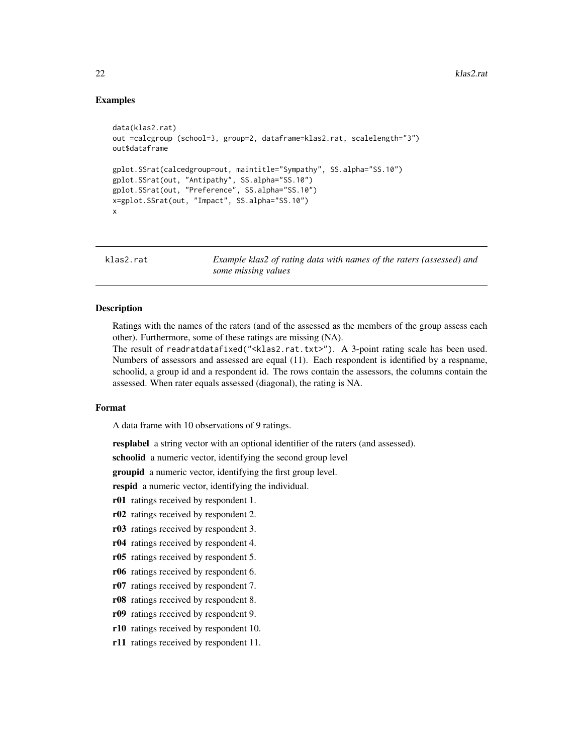# <span id="page-21-0"></span>Examples

```
data(klas2.rat)
out =calcgroup (school=3, group=2, dataframe=klas2.rat, scalelength="3")
out$dataframe
gplot.SSrat(calcedgroup=out, maintitle="Sympathy", SS.alpha="SS.10")
gplot.SSrat(out, "Antipathy", SS.alpha="SS.10")
gplot.SSrat(out, "Preference", SS.alpha="SS.10")
x=gplot.SSrat(out, "Impact", SS.alpha="SS.10")
x
```
<span id="page-21-1"></span>klas2.rat *Example klas2 of rating data with names of the raters (assessed) and some missing values*

# Description

Ratings with the names of the raters (and of the assessed as the members of the group assess each other). Furthermore, some of these ratings are missing (NA).

The result of readratdatafixed("<klas2.rat.txt>"). A 3-point rating scale has been used. Numbers of assessors and assessed are equal (11). Each respondent is identified by a respname, schoolid, a group id and a respondent id. The rows contain the assessors, the columns contain the assessed. When rater equals assessed (diagonal), the rating is NA.

# Format

A data frame with 10 observations of 9 ratings.

resplabel a string vector with an optional identifier of the raters (and assessed).

schoolid a numeric vector, identifying the second group level

groupid a numeric vector, identifying the first group level.

respid a numeric vector, identifying the individual.

r01 ratings received by respondent 1.

r02 ratings received by respondent 2.

r03 ratings received by respondent 3.

r04 ratings received by respondent 4.

r05 ratings received by respondent 5.

r06 ratings received by respondent 6.

r07 ratings received by respondent 7.

r08 ratings received by respondent 8.

r09 ratings received by respondent 9.

r10 ratings received by respondent 10.

r11 ratings received by respondent 11.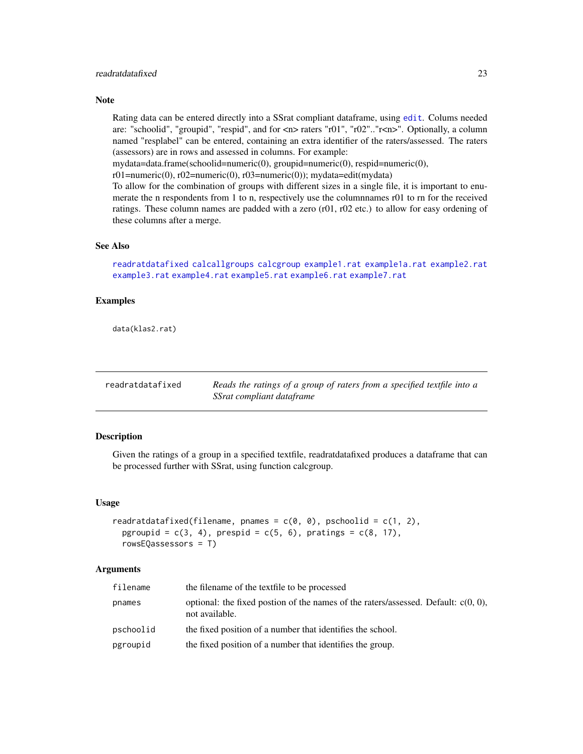# <span id="page-22-0"></span>readratdatafixed 23

### Note

Rating data can be entered directly into a SSrat compliant dataframe, using [edit](#page-0-0). Colums needed are: "schoolid", "groupid", "respid", and for <n> raters "r01", "r02".."r<n>". Optionally, a column named "resplabel" can be entered, containing an extra identifier of the raters/assessed. The raters (assessors) are in rows and assessed in columns. For example:

mydata=data.frame(schoolid=numeric(0), groupid=numeric(0), respid=numeric(0),

r01=numeric(0), r02=numeric(0), r03=numeric(0)); mydata=edit(mydata)

To allow for the combination of groups with different sizes in a single file, it is important to enumerate the n respondents from 1 to n, respectively use the columnnames r01 to rn for the received ratings. These column names are padded with a zero (r01, r02 etc.) to allow for easy ordening of these columns after a merge.

# See Also

[readratdatafixed](#page-22-1) [calcallgroups](#page-2-1) [calcgroup](#page-4-1) [example1.rat](#page-10-1) [example1a.rat](#page-11-1) [example2.rat](#page-12-1) [example3.rat](#page-14-1) [example4.rat](#page-15-1) [example5.rat](#page-16-1) [example6.rat](#page-17-1) [example7.rat](#page-18-1)

# Examples

data(klas2.rat)

<span id="page-22-1"></span>

| readratdatafixed | Reads the ratings of a group of raters from a specified textfile into a |
|------------------|-------------------------------------------------------------------------|
|                  | SSrat compliant dataframe                                               |

#### Description

Given the ratings of a group in a specified textfile, readratdatafixed produces a dataframe that can be processed further with SSrat, using function calcgroup.

#### Usage

```
readratdatafixed(filename, pnames = c(0, 0), pschoolid = c(1, 2),
  pgroupid = c(3, 4), prespid = c(5, 6), pratings = c(8, 17),
  rowsEQassessors = T)
```
### Arguments

| filename  | the filename of the textfile to be processed                                                            |
|-----------|---------------------------------------------------------------------------------------------------------|
| pnames    | optional: the fixed postion of the names of the raters/assessed. Default: $c(0, 0)$ ,<br>not available. |
| pschoolid | the fixed position of a number that identifies the school.                                              |
| pgroupid  | the fixed position of a number that identifies the group.                                               |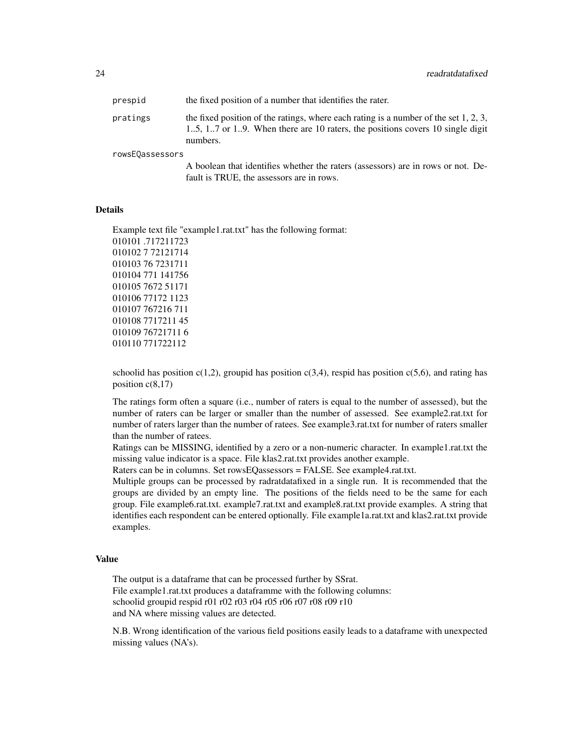| prespid         | the fixed position of a number that identifies the rater.                                                                                                                           |
|-----------------|-------------------------------------------------------------------------------------------------------------------------------------------------------------------------------------|
| pratings        | the fixed position of the ratings, where each rating is a number of the set $1, 2, 3$ ,<br>15, 17 or 19. When there are 10 raters, the positions covers 10 single digit<br>numbers. |
| rowsEQassessors |                                                                                                                                                                                     |

A boolean that identifies whether the raters (assessors) are in rows or not. Default is TRUE, the assessors are in rows.

# **Details**

Example text file "example1.rat.txt" has the following format: 010101 .717211723 010102 7 72121714 010103 76 7231711 010104 771 141756 010105 7672 51171 010106 77172 1123 010107 767216 711 010108 7717211 45 010109 76721711 6 010110 771722112

schoolid has position  $c(1,2)$ , groupid has position  $c(3,4)$ , respid has position  $c(5,6)$ , and rating has position c(8,17)

The ratings form often a square (i.e., number of raters is equal to the number of assessed), but the number of raters can be larger or smaller than the number of assessed. See example2.rat.txt for number of raters larger than the number of ratees. See example3.rat.txt for number of raters smaller than the number of ratees.

Ratings can be MISSING, identified by a zero or a non-numeric character. In example1.rat.txt the missing value indicator is a space. File klas2.rat.txt provides another example.

Raters can be in columns. Set rowsEQassessors = FALSE. See example4.rat.txt.

Multiple groups can be processed by radratdatafixed in a single run. It is recommended that the groups are divided by an empty line. The positions of the fields need to be the same for each group. File example6.rat.txt. example7.rat.txt and example8.rat.txt provide examples. A string that identifies each respondent can be entered optionally. File example1a.rat.txt and klas2.rat.txt provide examples.

#### Value

The output is a dataframe that can be processed further by SSrat. File example1.rat.txt produces a dataframme with the following columns: schoolid groupid respid r01 r02 r03 r04 r05 r06 r07 r08 r09 r10 and NA where missing values are detected.

N.B. Wrong identification of the various field positions easily leads to a dataframe with unexpected missing values (NA's).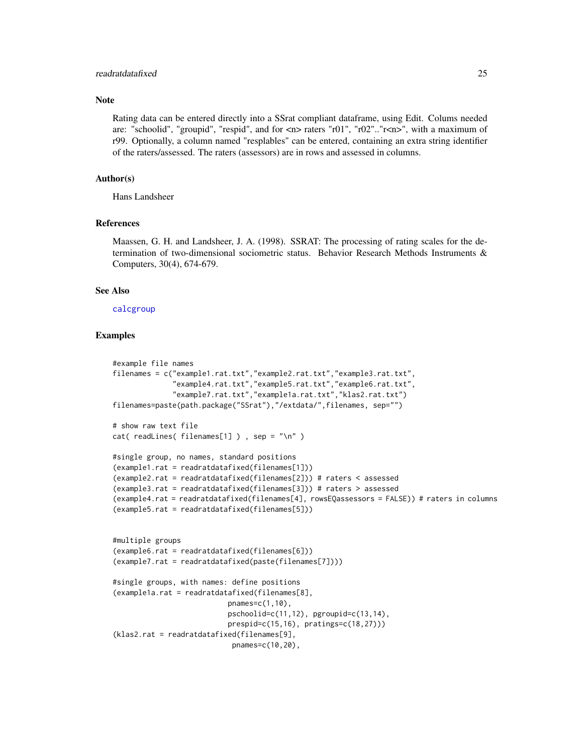#### <span id="page-24-0"></span>readratdatafixed 25

# **Note**

Rating data can be entered directly into a SSrat compliant dataframe, using Edit. Colums needed are: "schoolid", "groupid", "respid", and for  $\langle n \rangle$  raters "r01", "r02".."r $\langle n \rangle$ ", with a maximum of r99. Optionally, a column named "resplables" can be entered, containing an extra string identifier of the raters/assessed. The raters (assessors) are in rows and assessed in columns.

# Author(s)

Hans Landsheer

#### References

Maassen, G. H. and Landsheer, J. A. (1998). SSRAT: The processing of rating scales for the determination of two-dimensional sociometric status. Behavior Research Methods Instruments & Computers, 30(4), 674-679.

# See Also

#### [calcgroup](#page-4-1)

# Examples

```
#example file names
filenames = c("example1.rat.txt","example2.rat.txt","example3.rat.txt",
              "example4.rat.txt","example5.rat.txt","example6.rat.txt",
              "example7.rat.txt","example1a.rat.txt","klas2.rat.txt")
filenames=paste(path.package("SSrat"),"/extdata/",filenames, sep="")
# show raw text file
cat( readLines( filenames[1] ) , sep = "\n" )
#single group, no names, standard positions
(example1.rat = readratdatafixed(filenames[1]))
(example2.rat = readratdatafixed(filenames[2])) # raters < assessed
(example3.rat = readratdatafixed(filenames[3])) # raters > assessed
(example4.rat = readratdatafixed(filenames[4], rowsEQassessors = FALSE)) # raters in columns
(example5.rat = readratdatafixed(filenames[5]))
#multiple groups
(example6.rat = readratdatafixed(filenames[6]))
(example7.rat = readratdatafixed(paste(filenames[7])))
#single groups, with names: define positions
(example1a.rat = readratdatafixed(filenames[8],
                           pnames=c(1,10),
                           pschoolid=c(11,12), pgroupid=c(13,14),
                           prespid=c(15,16), pratings=c(18,27)))
(klas2.rat = readratdatafixed(filenames[9],
                            pnames=c(10,20),
```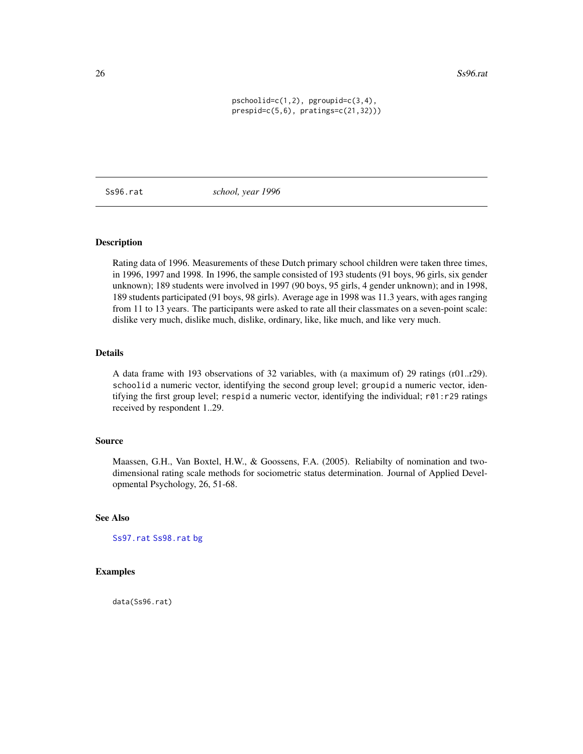<span id="page-25-0"></span>26 Ss96.rat

 $pschoolid=c(1,2)$ ,  $pgroupid=c(3,4)$ , prespid=c(5,6), pratings=c(21,32)))

<span id="page-25-1"></span>Ss96.rat *school, year 1996*

# Description

Rating data of 1996. Measurements of these Dutch primary school children were taken three times, in 1996, 1997 and 1998. In 1996, the sample consisted of 193 students (91 boys, 96 girls, six gender unknown); 189 students were involved in 1997 (90 boys, 95 girls, 4 gender unknown); and in 1998, 189 students participated (91 boys, 98 girls). Average age in 1998 was 11.3 years, with ages ranging from 11 to 13 years. The participants were asked to rate all their classmates on a seven-point scale: dislike very much, dislike much, dislike, ordinary, like, like much, and like very much.

#### Details

A data frame with 193 observations of 32 variables, with (a maximum of) 29 ratings (r01..r29). schoolid a numeric vector, identifying the second group level; groupid a numeric vector, identifying the first group level; respid a numeric vector, identifying the individual; r01:r29 ratings received by respondent 1..29.

# Source

Maassen, G.H., Van Boxtel, H.W., & Goossens, F.A. (2005). Reliabilty of nomination and twodimensional rating scale methods for sociometric status determination. Journal of Applied Developmental Psychology, 26, 51-68.

# See Also

[Ss97.rat](#page-26-1) [Ss98.rat](#page-26-2) [bg](#page-1-1)

## Examples

data(Ss96.rat)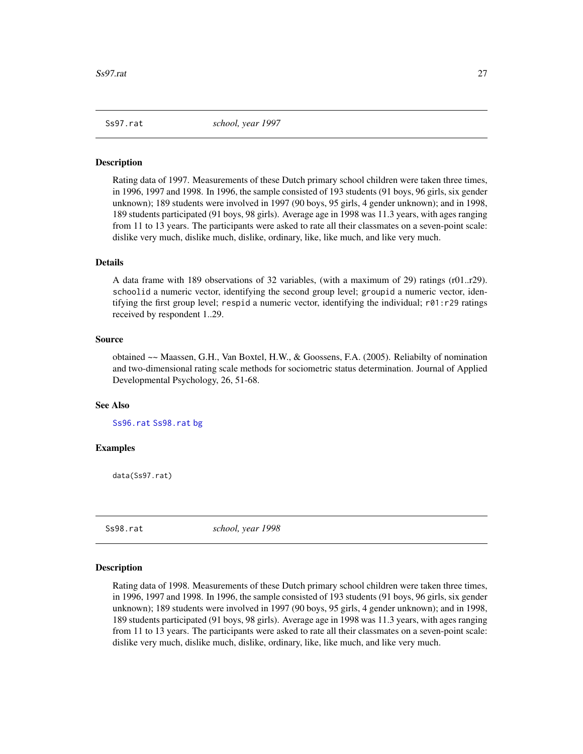<span id="page-26-1"></span><span id="page-26-0"></span>

### Description

Rating data of 1997. Measurements of these Dutch primary school children were taken three times, in 1996, 1997 and 1998. In 1996, the sample consisted of 193 students (91 boys, 96 girls, six gender unknown); 189 students were involved in 1997 (90 boys, 95 girls, 4 gender unknown); and in 1998, 189 students participated (91 boys, 98 girls). Average age in 1998 was 11.3 years, with ages ranging from 11 to 13 years. The participants were asked to rate all their classmates on a seven-point scale: dislike very much, dislike much, dislike, ordinary, like, like much, and like very much.

#### Details

A data frame with 189 observations of 32 variables, (with a maximum of 29) ratings (r01..r29). schoolid a numeric vector, identifying the second group level; groupid a numeric vector, identifying the first group level; respid a numeric vector, identifying the individual; r01:r29 ratings received by respondent 1..29.

### Source

obtained ~~ Maassen, G.H., Van Boxtel, H.W., & Goossens, F.A. (2005). Reliabilty of nomination and two-dimensional rating scale methods for sociometric status determination. Journal of Applied Developmental Psychology, 26, 51-68.

### See Also

[Ss96.rat](#page-25-1) [Ss98.rat](#page-26-2) [bg](#page-1-1)

# Examples

data(Ss97.rat)

<span id="page-26-2"></span>

Ss98.rat *school, year 1998*

#### Description

Rating data of 1998. Measurements of these Dutch primary school children were taken three times, in 1996, 1997 and 1998. In 1996, the sample consisted of 193 students (91 boys, 96 girls, six gender unknown); 189 students were involved in 1997 (90 boys, 95 girls, 4 gender unknown); and in 1998, 189 students participated (91 boys, 98 girls). Average age in 1998 was 11.3 years, with ages ranging from 11 to 13 years. The participants were asked to rate all their classmates on a seven-point scale: dislike very much, dislike much, dislike, ordinary, like, like much, and like very much.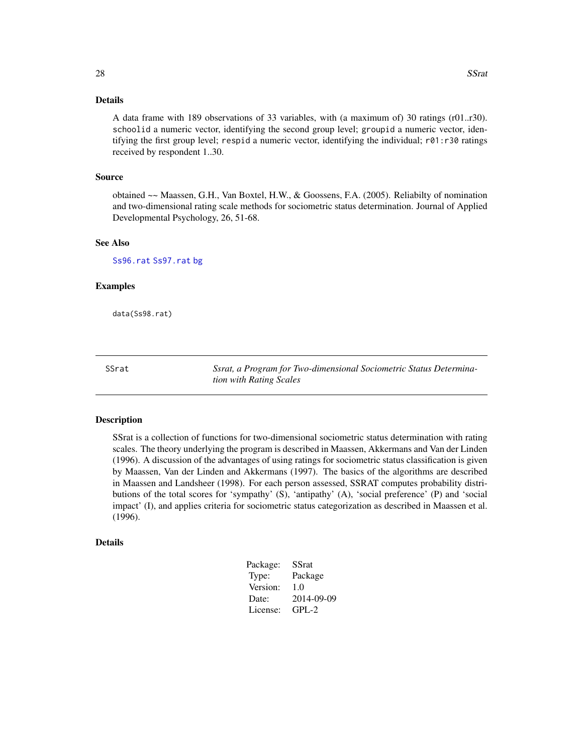# <span id="page-27-0"></span>Details

A data frame with 189 observations of 33 variables, with (a maximum of) 30 ratings (r01..r30). schoolid a numeric vector, identifying the second group level; groupid a numeric vector, identifying the first group level; respid a numeric vector, identifying the individual; r01:r30 ratings received by respondent 1..30.

### Source

obtained ~~ Maassen, G.H., Van Boxtel, H.W., & Goossens, F.A. (2005). Reliabilty of nomination and two-dimensional rating scale methods for sociometric status determination. Journal of Applied Developmental Psychology, 26, 51-68.

#### See Also

[Ss96.rat](#page-25-1) [Ss97.rat](#page-26-1) [bg](#page-1-1)

#### Examples

data(Ss98.rat)

SSrat *Ssrat, a Program for Two-dimensional Sociometric Status Determination with Rating Scales*

#### Description

SSrat is a collection of functions for two-dimensional sociometric status determination with rating scales. The theory underlying the program is described in Maassen, Akkermans and Van der Linden (1996). A discussion of the advantages of using ratings for sociometric status classification is given by Maassen, Van der Linden and Akkermans (1997). The basics of the algorithms are described in Maassen and Landsheer (1998). For each person assessed, SSRAT computes probability distributions of the total scores for 'sympathy' (S), 'antipathy' (A), 'social preference' (P) and 'social impact' (I), and applies criteria for sociometric status categorization as described in Maassen et al. (1996).

#### Details

| Package: | <b>SSrat</b> |
|----------|--------------|
| Type:    | Package      |
| Version: | 1.0          |
| Date:    | 2014-09-09   |
| License: | $GPL-2$      |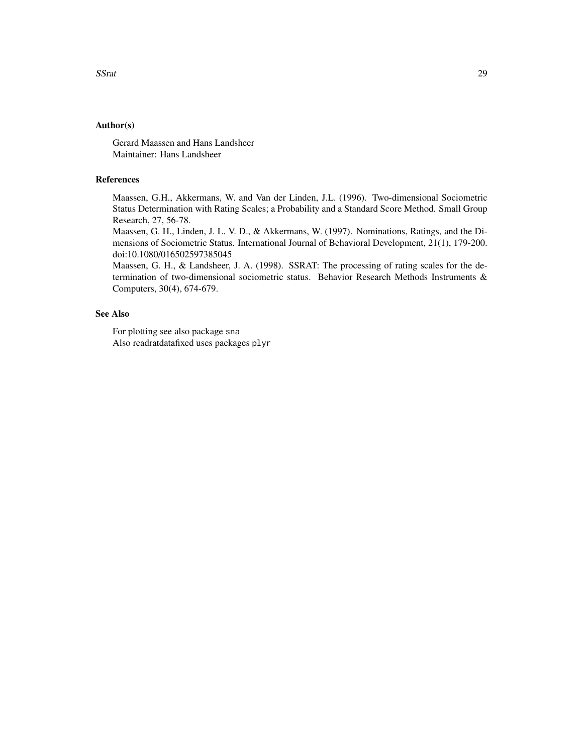# Author(s)

Gerard Maassen and Hans Landsheer Maintainer: Hans Landsheer

# References

Maassen, G.H., Akkermans, W. and Van der Linden, J.L. (1996). Two-dimensional Sociometric Status Determination with Rating Scales; a Probability and a Standard Score Method. Small Group Research, 27, 56-78.

Maassen, G. H., Linden, J. L. V. D., & Akkermans, W. (1997). Nominations, Ratings, and the Dimensions of Sociometric Status. International Journal of Behavioral Development, 21(1), 179-200. doi:10.1080/016502597385045

Maassen, G. H., & Landsheer, J. A. (1998). SSRAT: The processing of rating scales for the determination of two-dimensional sociometric status. Behavior Research Methods Instruments & Computers, 30(4), 674-679.

# See Also

For plotting see also package sna Also readratdatafixed uses packages plyr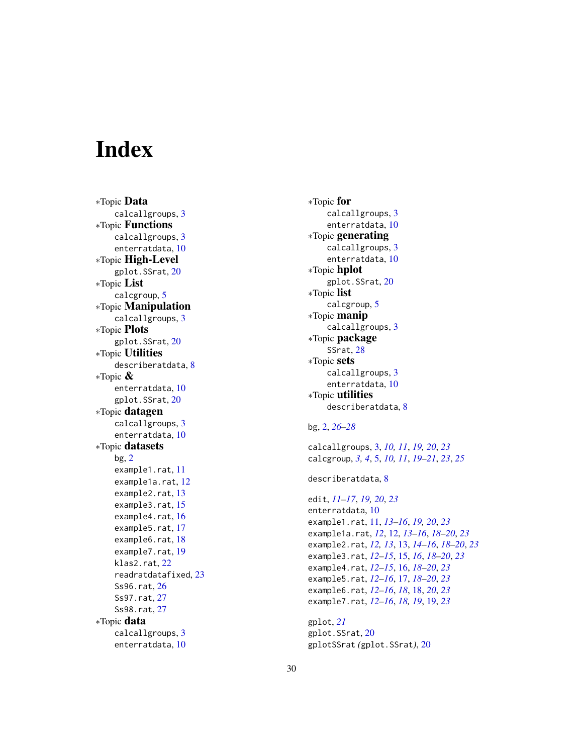# <span id="page-29-0"></span>**Index**

∗Topic Data calcallgroups , [3](#page-2-0) ∗Topic Functions calcallgroups , [3](#page-2-0) enterratdata , [10](#page-9-0) ∗Topic High-Level gplot.SSrat , [20](#page-19-0) ∗Topic List calcgroup , [5](#page-4-0) ∗Topic Manipulation calcallgroups, [3](#page-2-0) ∗Topic Plots gplot.SSrat , [20](#page-19-0) ∗Topic Utilities describeratdata , [8](#page-7-0) ∗Topic & enterratdata , [10](#page-9-0) gplot.SSrat , [20](#page-19-0) ∗Topic datagen calcallgroups , [3](#page-2-0) enterratdata , [10](#page-9-0) ∗Topic datasets bg , [2](#page-1-0) example1.rat, [11](#page-10-0) example1a.rat , [12](#page-11-0) example2.rat , [13](#page-12-0) example3.rat, [15](#page-14-0) example4.rat , [16](#page-15-0) example5.rat, [17](#page-16-0) example6.rat, [18](#page-17-0) example7.rat , [19](#page-18-0) klas2.rat , [22](#page-21-0) readratdatafixed , [23](#page-22-0) Ss96.rat , [26](#page-25-0) Ss97.rat, [27](#page-26-0) Ss98.rat, [27](#page-26-0) ∗Topic data calcallgroups , [3](#page-2-0) enterratdata , [10](#page-9-0)

∗Topic for calcallgroups , [3](#page-2-0) enterratdata , [10](#page-9-0) ∗Topic generating calcallgroups, [3](#page-2-0) enterratdata , [10](#page-9-0) ∗Topic hplot gplot.SSrat, [20](#page-19-0) ∗Topic list calcgroup , [5](#page-4-0) ∗Topic manip calcallgroups , [3](#page-2-0) ∗Topic package SSrat, [28](#page-27-0) ∗Topic sets calcallgroups , [3](#page-2-0) enterratdata , [10](#page-9-0) ∗Topic utilities describeratdata , [8](#page-7-0)

# bg , [2](#page-1-0) , *[26–](#page-25-0)[28](#page-27-0)*

calcallgroups , [3](#page-2-0) , *[10](#page-9-0) , [11](#page-10-0)* , *[19](#page-18-0) , [20](#page-19-0)* , *[23](#page-22-0)* calcgroup , *[3](#page-2-0) , [4](#page-3-0)* , [5](#page-4-0) , *[10](#page-9-0) , [11](#page-10-0)* , *[19](#page-18-0) [–21](#page-20-0)* , *[23](#page-22-0)* , *[25](#page-24-0)*

describeratdata , [8](#page-7-0)

edit , *[11](#page-10-0) [–17](#page-16-0)* , *[19](#page-18-0) , [20](#page-19-0)* , *[23](#page-22-0)* enterratdata , [10](#page-9-0) example1.rat, [11](#page-10-0), [13](#page-12-0)-16, [19](#page-18-0), [20](#page-19-0), [23](#page-22-0) example1a.rat , *[12](#page-11-0)* , [12](#page-11-0) , *[13](#page-12-0) [–16](#page-15-0)* , *[18](#page-17-0) [–20](#page-19-0)* , *[23](#page-22-0)* example2.rat , *[12](#page-11-0) , [13](#page-12-0)* , [13](#page-12-0) , *[14](#page-13-0) [–16](#page-15-0)* , *[18](#page-17-0) [–20](#page-19-0)* , *[23](#page-22-0)* example3.rat , *[12](#page-11-0) [–15](#page-14-0)* , [15](#page-14-0) , *[16](#page-15-0)* , *[18](#page-17-0) [–20](#page-19-0)* , *[23](#page-22-0)* example4.rat , *[12](#page-11-0) [–15](#page-14-0)* , [16](#page-15-0) , *[18](#page-17-0) [–20](#page-19-0)* , *[23](#page-22-0)* example5.rat , *[12](#page-11-0) [–16](#page-15-0)* , [17](#page-16-0) , *[18](#page-17-0) [–20](#page-19-0)* , *[23](#page-22-0)* example6.rat , *[12](#page-11-0) [–16](#page-15-0)* , *[18](#page-17-0)* , [18](#page-17-0) , *[20](#page-19-0)* , *[23](#page-22-0)* example7.rat , *[12](#page-11-0) [–16](#page-15-0)* , *[18](#page-17-0) , [19](#page-18-0)* , [19](#page-18-0) , *[23](#page-22-0)*

gplot , *[21](#page-20-0)* gplot.SSrat , [20](#page-19-0) gplotSSrat *(*gplot.SSrat *)* , [20](#page-19-0)